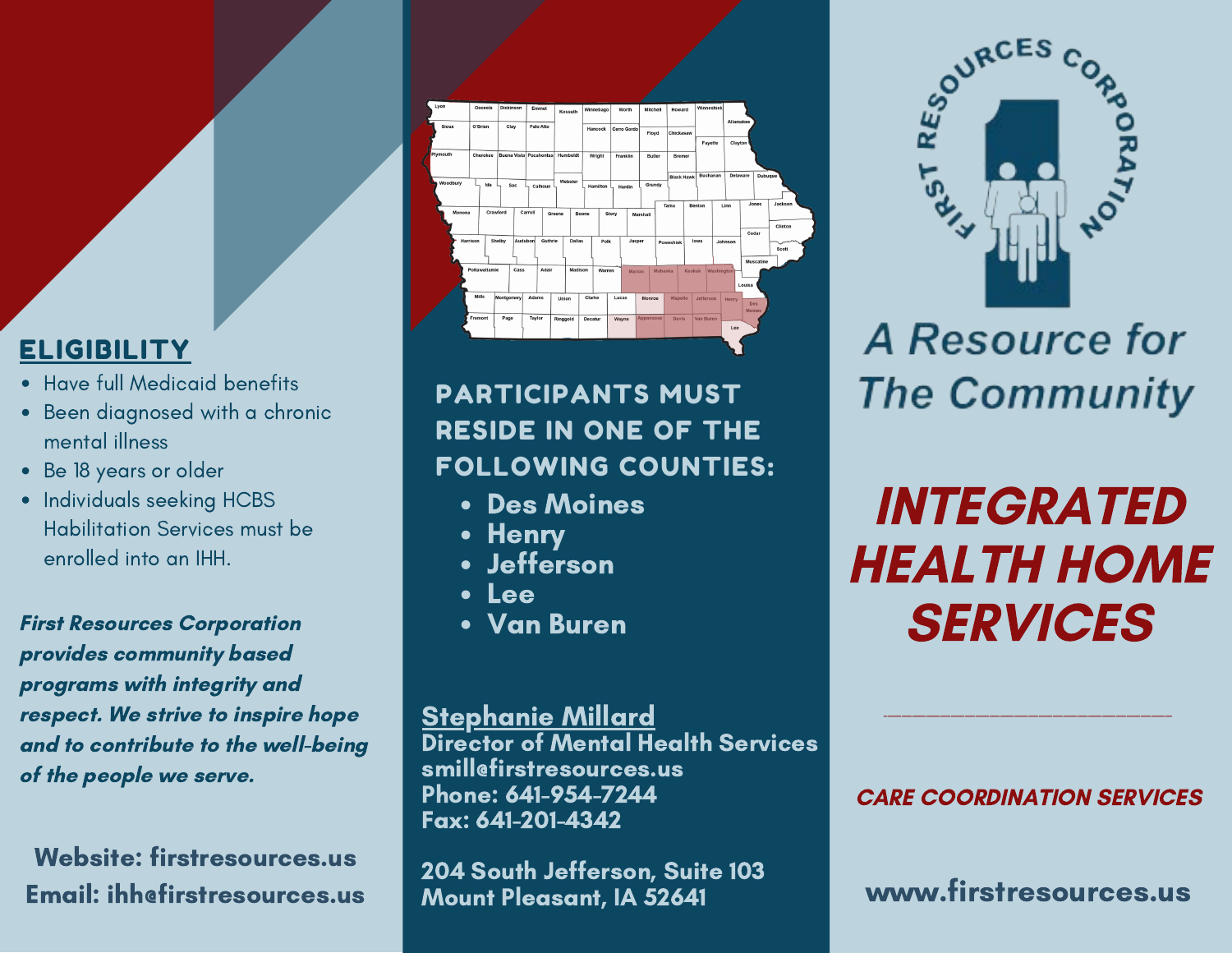## **ELIGIBILITY**

- Have full [Medicaid](https://www.firstresources.us/day-hab) benefit[s](https://www.firstresources.us/day-hab)
- Been [diagnosed](https://www.firstresources.us/day-hab) with a chronic mental illness
- Be 18 [years](https://www.firstresources.us/day-hab) or older
- Individuals seeking HCBS [Habilitation](https://www.firstresources.us/day-hab) Services must be enrolled into an IHH[.](https://www.firstresources.us/day-hab)

First Resources Corporation provides community based programs with integrity and respect. We strive to inspire hope and to contribute to the well-being of the people we serve.

Website: firstresources.us Email: ihh@firstresources.us



PARTICIPANTS MUST RESIDE IN ONE OF THE FOLLOWING COUNTIES:

- Des Moines
- Henry
- Jefferson
- Lee
- Van Buren

<u>Stephanie Millard</u> Director of Mental Health Services

smill@firstresources.us Phone: 641-954-7244 Fax: 641-201-4342

204 South Jefferson, Suite 103 Mount Pleasant, IA 52641



**A Resource for The Community** 

INTEGRATED HEALTH HOME **SERVICES** 

#### CARE COORDINATION SERVICES

\_\_\_\_\_\_\_\_\_\_\_\_\_\_\_\_\_\_\_\_\_\_\_\_\_\_\_\_\_\_\_\_\_\_\_\_\_\_\_\_\_\_\_\_\_\_\_\_\_\_\_\_\_\_\_\_\_\_\_\_\_\_\_\_\_\_\_\_\_\_\_\_\_\_\_\_\_\_\_\_\_\_

www.firstresources.us